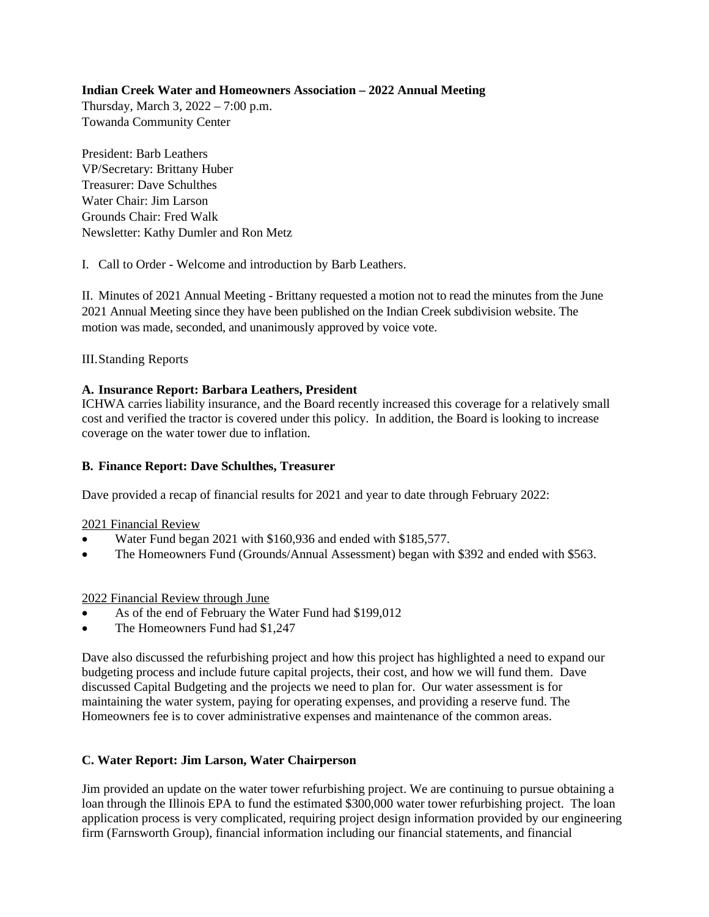## **Indian Creek Water and Homeowners Association – 2022 Annual Meeting**

Thursday, March 3, 2022 – 7:00 p.m. Towanda Community Center

President: Barb Leathers VP/Secretary: Brittany Huber Treasurer: Dave Schulthes Water Chair: Jim Larson Grounds Chair: Fred Walk Newsletter: Kathy Dumler and Ron Metz

I. Call to Order - Welcome and introduction by Barb Leathers.

II. Minutes of 2021 Annual Meeting - Brittany requested a motion not to read the minutes from the June 2021 Annual Meeting since they have been published on the Indian Creek subdivision website. The motion was made, seconded, and unanimously approved by voice vote.

III.Standing Reports

# **A. Insurance Report: Barbara Leathers, President**

ICHWA carries liability insurance, and the Board recently increased this coverage for a relatively small cost and verified the tractor is covered under this policy. In addition, the Board is looking to increase coverage on the water tower due to inflation.

# **B. Finance Report: Dave Schulthes, Treasurer**

Dave provided a recap of financial results for 2021 and year to date through February 2022:

### 2021 Financial Review

- Water Fund began 2021 with \$160,936 and ended with \$185,577.
- The Homeowners Fund (Grounds/Annual Assessment) began with \$392 and ended with \$563.

### 2022 Financial Review through June

- As of the end of February the Water Fund had \$199,012
- The Homeowners Fund had \$1,247

Dave also discussed the refurbishing project and how this project has highlighted a need to expand our budgeting process and include future capital projects, their cost, and how we will fund them. Dave discussed Capital Budgeting and the projects we need to plan for. Our water assessment is for maintaining the water system, paying for operating expenses, and providing a reserve fund. The Homeowners fee is to cover administrative expenses and maintenance of the common areas.

# **C. Water Report: Jim Larson, Water Chairperson**

Jim provided an update on the water tower refurbishing project. We are continuing to pursue obtaining a loan through the Illinois EPA to fund the estimated \$300,000 water tower refurbishing project. The loan application process is very complicated, requiring project design information provided by our engineering firm (Farnsworth Group), financial information including our financial statements, and financial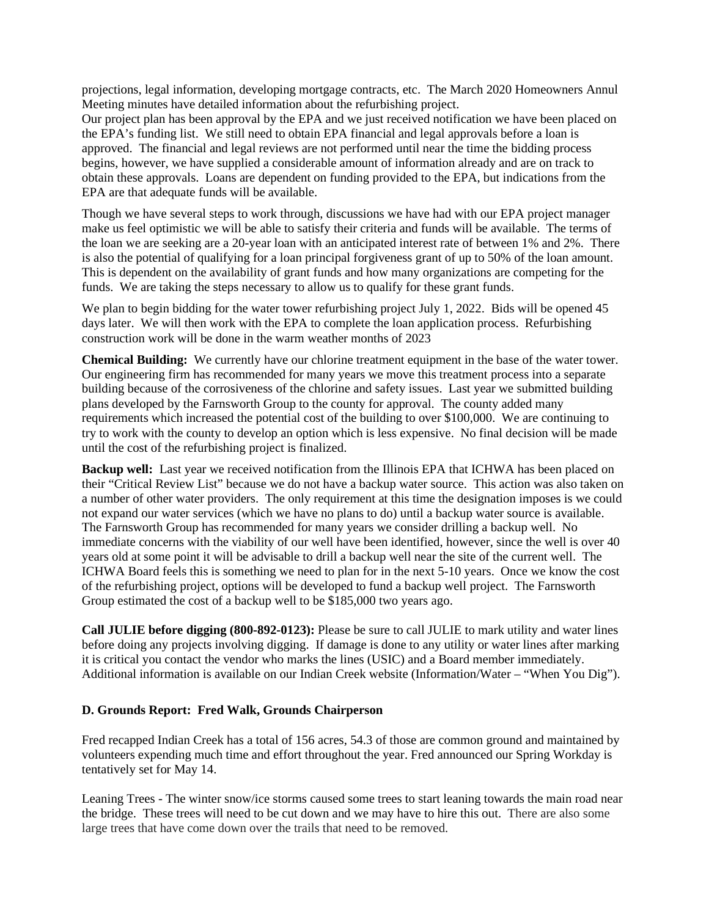projections, legal information, developing mortgage contracts, etc. The March 2020 Homeowners Annul Meeting minutes have detailed information about the refurbishing project.

Our project plan has been approval by the EPA and we just received notification we have been placed on the EPA's funding list. We still need to obtain EPA financial and legal approvals before a loan is approved. The financial and legal reviews are not performed until near the time the bidding process begins, however, we have supplied a considerable amount of information already and are on track to obtain these approvals. Loans are dependent on funding provided to the EPA, but indications from the EPA are that adequate funds will be available.

Though we have several steps to work through, discussions we have had with our EPA project manager make us feel optimistic we will be able to satisfy their criteria and funds will be available. The terms of the loan we are seeking are a 20-year loan with an anticipated interest rate of between 1% and 2%. There is also the potential of qualifying for a loan principal forgiveness grant of up to 50% of the loan amount. This is dependent on the availability of grant funds and how many organizations are competing for the funds. We are taking the steps necessary to allow us to qualify for these grant funds.

We plan to begin bidding for the water tower refurbishing project July 1, 2022. Bids will be opened 45 days later. We will then work with the EPA to complete the loan application process. Refurbishing construction work will be done in the warm weather months of 2023

**Chemical Building:** We currently have our chlorine treatment equipment in the base of the water tower. Our engineering firm has recommended for many years we move this treatment process into a separate building because of the corrosiveness of the chlorine and safety issues. Last year we submitted building plans developed by the Farnsworth Group to the county for approval. The county added many requirements which increased the potential cost of the building to over \$100,000. We are continuing to try to work with the county to develop an option which is less expensive. No final decision will be made until the cost of the refurbishing project is finalized.

**Backup well:** Last year we received notification from the Illinois EPA that ICHWA has been placed on their "Critical Review List" because we do not have a backup water source. This action was also taken on a number of other water providers. The only requirement at this time the designation imposes is we could not expand our water services (which we have no plans to do) until a backup water source is available. The Farnsworth Group has recommended for many years we consider drilling a backup well. No immediate concerns with the viability of our well have been identified, however, since the well is over 40 years old at some point it will be advisable to drill a backup well near the site of the current well. The ICHWA Board feels this is something we need to plan for in the next 5-10 years. Once we know the cost of the refurbishing project, options will be developed to fund a backup well project. The Farnsworth Group estimated the cost of a backup well to be \$185,000 two years ago.

**Call JULIE before digging (800-892-0123):** Please be sure to call JULIE to mark utility and water lines before doing any projects involving digging. If damage is done to any utility or water lines after marking it is critical you contact the vendor who marks the lines (USIC) and a Board member immediately. Additional information is available on our Indian Creek website (Information/Water – "When You Dig").

### **D. Grounds Report: Fred Walk, Grounds Chairperson**

Fred recapped Indian Creek has a total of 156 acres, 54.3 of those are common ground and maintained by volunteers expending much time and effort throughout the year. Fred announced our Spring Workday is tentatively set for May 14.

Leaning Trees - The winter snow/ice storms caused some trees to start leaning towards the main road near the bridge. These trees will need to be cut down and we may have to hire this out. There are also some large trees that have come down over the trails that need to be removed.